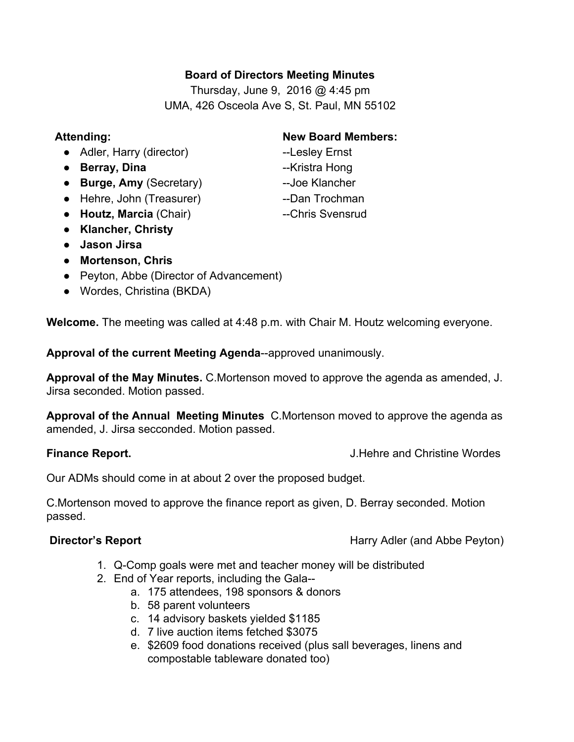## **Board of Directors Meeting Minutes**

Thursday, June 9,  $2016$  @ 4:45 pm UMA, 426 Osceola Ave S, St. Paul, MN 55102

- Adler, Harry (director) Lesley Ernst
- **Berray, Dina** Kristra Hong
- **Burge, Amy** (Secretary) **Joe Klancher**
- Hehre, John (Treasurer) **Dan Trochman**
- **Houtz, Marcia** (Chair) ---Chris Svensrud
- **Klancher, Christy**
- **● Jason Jirsa**
- **● Mortenson, Chris**
- **●** Peyton, Abbe (Director of Advancement)
- **●** Wordes, Christina (BKDA)

**Welcome.** The meeting was called at 4:48 p.m. with Chair M. Houtz welcoming everyone.

**Approval of the current Meeting Agenda--approved unanimously.** 

**Approval of the May Minutes.** C.Mortenson moved to approve the agenda as amended, J. Jirsa seconded. Motion passed.

**Approval of the Annual Meeting Minutes** C.Mortenson moved to approve the agenda as amended, J. Jirsa secconded. Motion passed.

**Finance Report.** The state of the state of the state of the state of the state of the state of the state of the state of the state of the state of the state of the state of the state of the state of the state of the state

Our ADMs should come in at about 2 over the proposed budget.

C.Mortenson moved to approve the finance report as given, D. Berray seconded. Motion passed.

**Director's Report Exercise 2 and Abbe Peyton Harry Adler (and Abbe Peyton)** 

- 1. Q-Comp goals were met and teacher money will be distributed
- 2. End of Year reports, including the Gala
	- a. 175 attendees, 198 sponsors & donors
	- b. 58 parent volunteers
	- c. 14 advisory baskets yielded \$1185
	- d. 7 live auction items fetched \$3075
	- e. \$2609 food donations received (plus sall beverages, linens and compostable tableware donated too)

# **Attending: New Board Members:**

- 
- 
- 
- 
-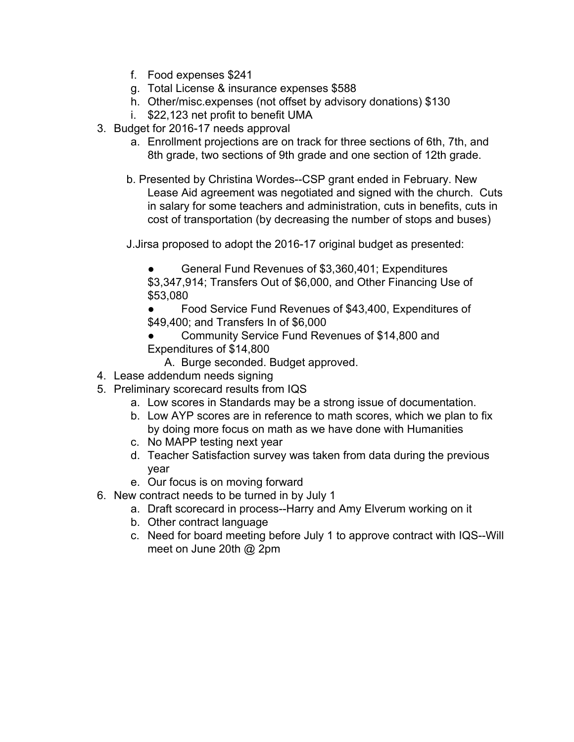- f. Food expenses \$241
- g. Total License & insurance expenses \$588
- h. Other/misc.expenses (not offset by advisory donations) \$130
- i. \$22,123 net profit to benefit UMA
- 3. Budget for 2016-17 needs approval
	- a. Enrollment projections are on track for three sections of 6th, 7th, and 8th grade, two sections of 9th grade and one section of 12th grade.
	- b. Presented by Christina Wordes--CSP grant ended in February. New Lease Aid agreement was negotiated and signed with the church. Cuts in salary for some teachers and administration, cuts in benefits, cuts in cost of transportation (by decreasing the number of stops and buses)

J.Jirsa proposed to adopt the 2016-17 original budget as presented:

General Fund Revenues of \$3,360,401; Expenditures \$3,347,914; Transfers Out of \$6,000, and Other Financing Use of \$53,080

Food Service Fund Revenues of \$43,400, Expenditures of \$49,400; and Transfers In of \$6,000

- Community Service Fund Revenues of \$14,800 and Expenditures of \$14,800
	- A. Burge seconded. Budget approved.
- 4. Lease addendum needs signing
- 5. Preliminary scorecard results from IQS
	- a. Low scores in Standards may be a strong issue of documentation.
	- b. Low AYP scores are in reference to math scores, which we plan to fix by doing more focus on math as we have done with Humanities
	- c. No MAPP testing next year
	- d. Teacher Satisfaction survey was taken from data during the previous year
	- e. Our focus is on moving forward
- 6. New contract needs to be turned in by July 1
	- a. Draft scorecard in process--Harry and Amy Elverum working on it
	- b. Other contract language
	- c. Need for board meeting before July 1 to approve contract with IQS--Will meet on June 20th @ 2pm